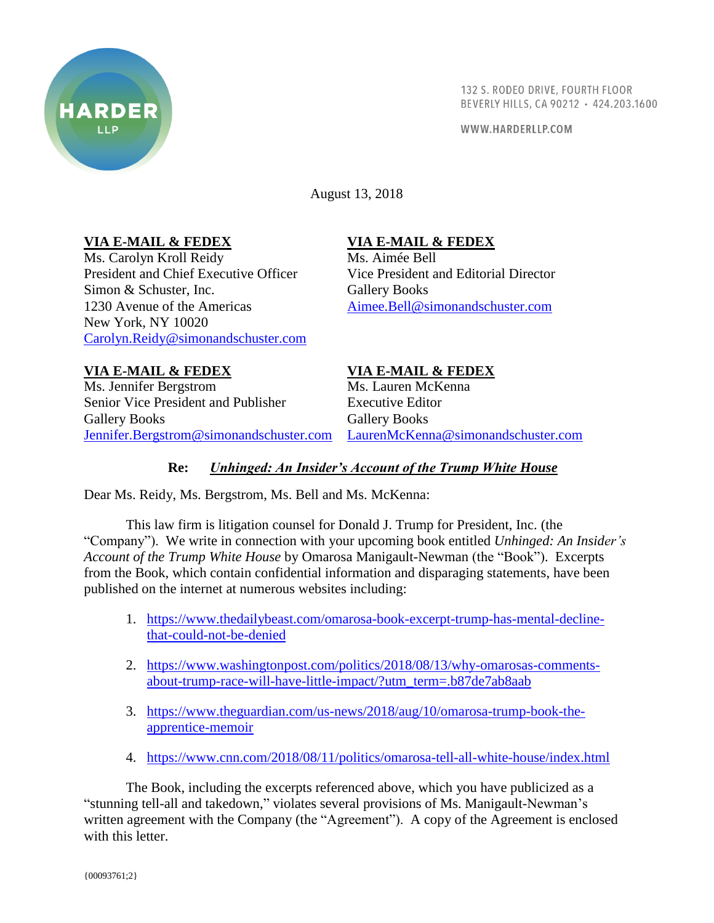

132 S. RODEO DRIVE, FOURTH FLOOR BEVERLY HILLS, CA 90212 · 424.203.1600

WWW.HARDERLLP.COM

August 13, 2018

### **VIA E-MAIL & FEDEX**

Ms. Carolyn Kroll Reidy President and Chief Executive Officer Simon & Schuster, Inc. 1230 Avenue of the Americas New York, NY 10020 [Carolyn.Reidy@simonandschuster.com](mailto:Carolyn.Reidy@simonandschuster.com)

## **VIA E-MAIL & FEDEX**

Ms. Aimée Bell Vice President and Editorial Director Gallery Books [Aimee.Bell@simonandschuster.com](mailto:Aimee.Bell@simonandschuster.com)

# **VIA E-MAIL & FEDEX**

Ms. Jennifer Bergstrom Senior Vice President and Publisher Gallery Books [Jennifer.Bergstrom@simonandschuster.com](mailto:Jennifer.Bergstrom@simonandschuster.com) [LaurenMcKenna@simonandschuster.com](mailto:LaurenMcKenna@simonandschuster.com)

### **VIA E-MAIL & FEDEX**

Ms. Lauren McKenna Executive Editor Gallery Books

#### **Re:** *Unhinged: An Insider's Account of the Trump White House*

Dear Ms. Reidy, Ms. Bergstrom, Ms. Bell and Ms. McKenna:

This law firm is litigation counsel for Donald J. Trump for President, Inc. (the "Company"). We write in connection with your upcoming book entitled *Unhinged: An Insider's Account of the Trump White House* by Omarosa Manigault-Newman (the "Book"). Excerpts from the Book, which contain confidential information and disparaging statements, have been published on the internet at numerous websites including:

- 1. [https://www.thedailybeast.com/omarosa-book-excerpt-trump-has-mental-decline](https://www.thedailybeast.com/omarosa-book-excerpt-trump-has-mental-decline-that-could-not-be-denied)[that-could-not-be-denied](https://www.thedailybeast.com/omarosa-book-excerpt-trump-has-mental-decline-that-could-not-be-denied)
- 2. [https://www.washingtonpost.com/politics/2018/08/13/why-omarosas-comments](https://www.washingtonpost.com/politics/2018/08/13/why-omarosas-comments-about-trump-race-will-have-little-impact/?utm_term=.b87de7ab8aab)[about-trump-race-will-have-little-impact/?utm\\_term=.b87de7ab8aab](https://www.washingtonpost.com/politics/2018/08/13/why-omarosas-comments-about-trump-race-will-have-little-impact/?utm_term=.b87de7ab8aab)
- 3. [https://www.theguardian.com/us-news/2018/aug/10/omarosa-trump-book-the](https://www.theguardian.com/us-news/2018/aug/10/omarosa-trump-book-the-apprentice-memoir)[apprentice-memoir](https://www.theguardian.com/us-news/2018/aug/10/omarosa-trump-book-the-apprentice-memoir)
- 4. <https://www.cnn.com/2018/08/11/politics/omarosa-tell-all-white-house/index.html>

The Book, including the excerpts referenced above, which you have publicized as a "stunning tell-all and takedown," violates several provisions of Ms. Manigault-Newman's written agreement with the Company (the "Agreement"). A copy of the Agreement is enclosed with this letter.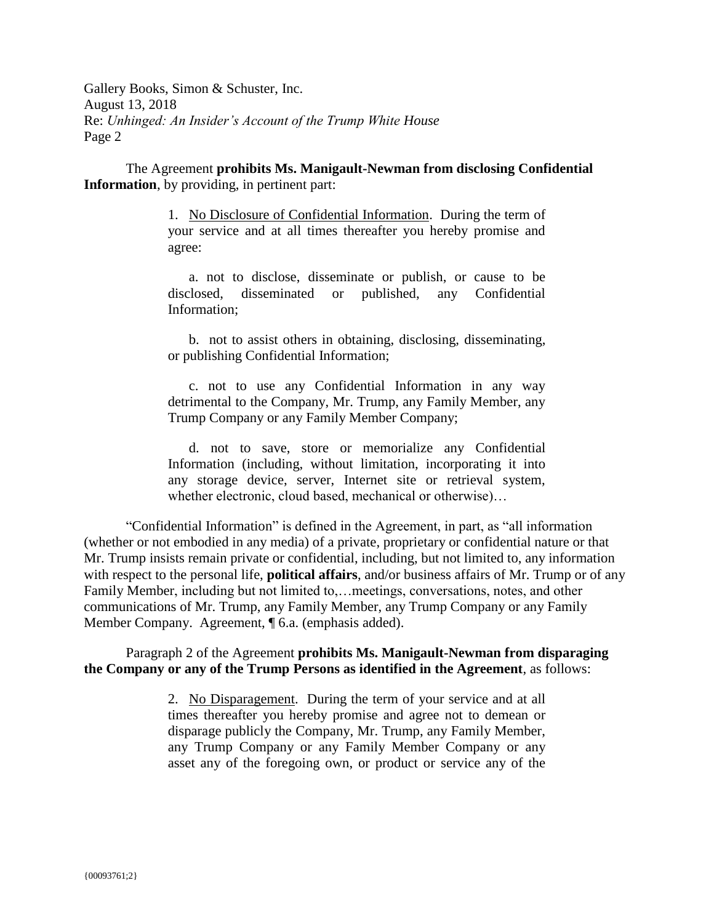Gallery Books, Simon & Schuster, Inc. August 13, 2018 Re: *Unhinged: An Insider's Account of the Trump White House* Page 2

The Agreement **prohibits Ms. Manigault-Newman from disclosing Confidential Information**, by providing, in pertinent part:

> 1. No Disclosure of Confidential Information. During the term of your service and at all times thereafter you hereby promise and agree:

> a. not to disclose, disseminate or publish, or cause to be disclosed, disseminated or published, any Confidential Information;

> b. not to assist others in obtaining, disclosing, disseminating, or publishing Confidential Information;

> c. not to use any Confidential Information in any way detrimental to the Company, Mr. Trump, any Family Member, any Trump Company or any Family Member Company;

> d. not to save, store or memorialize any Confidential Information (including, without limitation, incorporating it into any storage device, server, Internet site or retrieval system, whether electronic, cloud based, mechanical or otherwise)…

"Confidential Information" is defined in the Agreement, in part, as "all information (whether or not embodied in any media) of a private, proprietary or confidential nature or that Mr. Trump insists remain private or confidential, including, but not limited to, any information with respect to the personal life, **political affairs**, and/or business affairs of Mr. Trump or of any Family Member, including but not limited to,…meetings, conversations, notes, and other communications of Mr. Trump, any Family Member, any Trump Company or any Family Member Company. Agreement, ¶ 6.a. (emphasis added).

Paragraph 2 of the Agreement **prohibits Ms. Manigault-Newman from disparaging the Company or any of the Trump Persons as identified in the Agreement**, as follows:

> 2. No Disparagement. During the term of your service and at all times thereafter you hereby promise and agree not to demean or disparage publicly the Company, Mr. Trump, any Family Member, any Trump Company or any Family Member Company or any asset any of the foregoing own, or product or service any of the